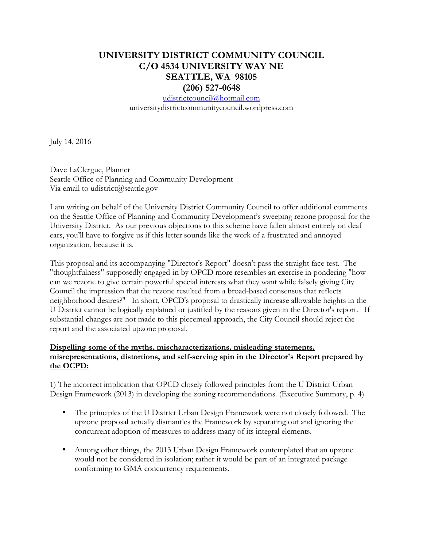## **UNIVERSITY DISTRICT COMMUNITY COUNCIL C/O 4534 UNIVERSITY WAY NE SEATTLE, WA 98105 (206) 527-0648**

udistrictcouncil@hotmail.com universitydistrictcommunitycouncil.wordpress.com

July 14, 2016

Dave LaClergue, Planner Seattle Office of Planning and Community Development Via email to udistrict@seattle.gov

I am writing on behalf of the University District Community Council to offer additional comments on the Seattle Office of Planning and Community Development's sweeping rezone proposal for the University District. As our previous objections to this scheme have fallen almost entirely on deaf ears, you'll have to forgive us if this letter sounds like the work of a frustrated and annoyed organization, because it is.

This proposal and its accompanying "Director's Report" doesn't pass the straight face test. The "thoughtfulness" supposedly engaged-in by OPCD more resembles an exercise in pondering "how can we rezone to give certain powerful special interests what they want while falsely giving City Council the impression that the rezone resulted from a broad-based consensus that reflects neighborhood desires?" In short, OPCD's proposal to drastically increase allowable heights in the U District cannot be logically explained or justified by the reasons given in the Director's report. If substantial changes are not made to this piecemeal approach, the City Council should reject the report and the associated upzone proposal.

## **Dispelling some of the myths, mischaracterizations, misleading statements, misrepresentations, distortions, and self-serving spin in the Director's Report prepared by the OCPD:**

1) The incorrect implication that OPCD closely followed principles from the U District Urban Design Framework (2013) in developing the zoning recommendations. (Executive Summary, p. 4)

- The principles of the U District Urban Design Framework were not closely followed. The upzone proposal actually dismantles the Framework by separating out and ignoring the concurrent adoption of measures to address many of its integral elements.
- Among other things, the 2013 Urban Design Framework contemplated that an upzone would not be considered in isolation; rather it would be part of an integrated package conforming to GMA concurrency requirements.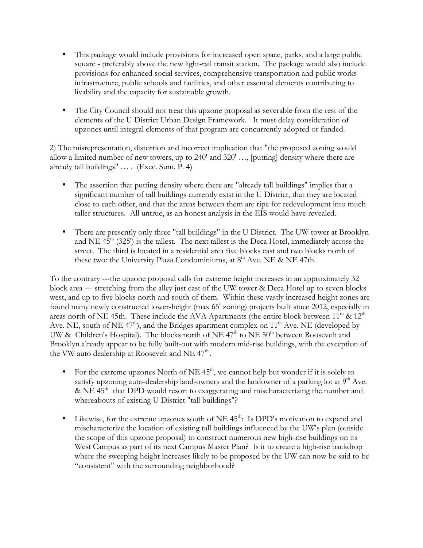- This package would include provisions for increased open space, parks, and a large public square - preferably above the new light-rail transit station. The package would also include provisions for enhanced social services, comprehensive transportation and public works infrastructure, public schools and facilities, and other essential elements contributing to livability and the capacity for sustainable growth.
- The City Council should not treat this upzone proposal as severable from the rest of the elements of the U District Urban Design Framework. It must delay consideration of upzones until integral elements of that program are concurrently adopted or funded.

2) The misrepresentation, distortion and incorrect implication that "the proposed zoning would allow a limited number of new towers, up to 240' and 320' …, [putting] density where there are already tall buildings" … . (Exec. Sum. P. 4)

- The assertion that putting density where there are "already tall buildings" implies that a significant number of tall buildings currently exist in the U District, that they are located close to each other, and that the areas between them are ripe for redevelopment into much taller structures. All untrue, as an honest analysis in the EIS would have revealed.
- There are presently only three "tall buildings" in the U District. The UW tower at Brooklyn and NE  $45<sup>th</sup>$  (325') is the tallest. The next tallest is the Deca Hotel, immediately across the street. The third is located in a residential area five blocks east and two blocks north of these two: the University Plaza Condominiums, at  $8<sup>th</sup>$  Ave. NE & NE 47th.

To the contrary ---the upzone proposal calls for extreme height increases in an approximately 32 block area --- stretching from the alley just east of the UW tower & Deca Hotel up to seven blocks west, and up to five blocks north and south of them. Within these vastly increased height zones are found many newly constructed lower-height (max 65' zoning) projects built since 2012, especially in areas north of NE 45th. These include the AVA Apartments (the entire block between  $11<sup>th</sup>$  &  $12<sup>th</sup>$ Ave. NE, south of NE  $47<sup>th</sup>$ ), and the Bridges apartment complex on  $11<sup>th</sup>$  Ave. NE (developed by UW & Children's Hospital). The blocks north of NE  $47<sup>th</sup>$  to NE  $50<sup>th</sup>$  between Roosevelt and Brooklyn already appear to be fully built-out with modern mid-rise buildings, with the exception of the VW auto dealership at Roosevelt and NE  $47<sup>th</sup>$ .

- For the extreme upzones North of NE  $45<sup>th</sup>$ , we cannot help but wonder if it is solely to satisfy upzoning auto-dealership land-owners and the landowner of a parking lot at  $9<sup>th</sup>$  Ave.  $\&$  NE 45<sup>th</sup> that DPD would resort to exaggerating and mischaracterizing the number and whereabouts of existing U District "tall buildings"?
- Likewise, for the extreme upzones south of NE  $45<sup>th</sup>$ : Is DPD's motivation to expand and mischaracterize the location of existing tall buildings influenced by the UW's plan (outside the scope of this upzone proposal) to construct numerous new high-rise buildings on its West Campus as part of its next Campus Master Plan? Is it to create a high-rise backdrop where the sweeping height increases likely to be proposed by the UW can now be said to be "consistent" with the surrounding neighborhood?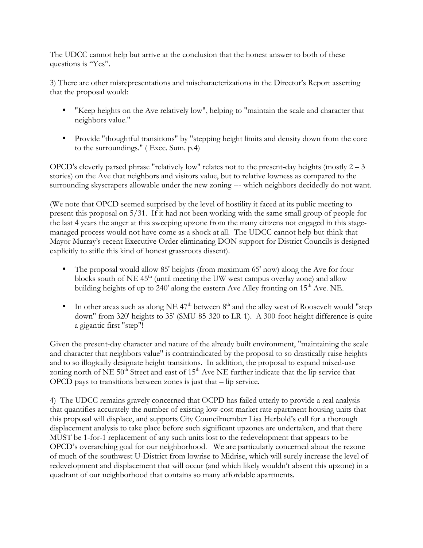The UDCC cannot help but arrive at the conclusion that the honest answer to both of these questions is "Yes".

3) There are other misrepresentations and mischaracterizations in the Director's Report asserting that the proposal would:

- "Keep heights on the Ave relatively low", helping to "maintain the scale and character that neighbors value."
- Provide "thoughtful transitions" by "stepping height limits and density down from the core to the surroundings." ( Exec. Sum. p.4)

OPCD's cleverly parsed phrase "relatively low" relates not to the present-day heights (mostly  $2 - 3$ ) stories) on the Ave that neighbors and visitors value, but to relative lowness as compared to the surrounding skyscrapers allowable under the new zoning --- which neighbors decidedly do not want.

(We note that OPCD seemed surprised by the level of hostility it faced at its public meeting to present this proposal on 5/31. If it had not been working with the same small group of people for the last 4 years the anger at this sweeping upzone from the many citizens not engaged in this stagemanaged process would not have come as a shock at all. The UDCC cannot help but think that Mayor Murray's recent Executive Order eliminating DON support for District Councils is designed explicitly to stifle this kind of honest grassroots dissent).

- The proposal would allow 85' heights (from maximum 65' now) along the Ave for four blocks south of  $NE 45<sup>th</sup>$  (until meeting the UW west campus overlay zone) and allow building heights of up to 240' along the eastern Ave Alley fronting on  $15<sup>th</sup>$  Ave. NE.
- In other areas such as along NE  $47<sup>th</sup>$  between  $8<sup>th</sup>$  and the alley west of Roosevelt would "step down" from 320' heights to 35' (SMU-85-320 to LR-1). A 300-foot height difference is quite a gigantic first "step"!

Given the present-day character and nature of the already built environment, "maintaining the scale and character that neighbors value" is contraindicated by the proposal to so drastically raise heights and to so illogically designate height transitions. In addition, the proposal to expand mixed-use zoning north of NE  $50<sup>th</sup>$  Street and east of  $15<sup>th</sup>$  Ave NE further indicate that the lip service that OPCD pays to transitions between zones is just that – lip service.

4) The UDCC remains gravely concerned that OCPD has failed utterly to provide a real analysis that quantifies accurately the number of existing low-cost market rate apartment housing units that this proposal will displace, and supports City Councilmember Lisa Herbold's call for a thorough displacement analysis to take place before such significant upzones are undertaken, and that there MUST be 1-for-1 replacement of any such units lost to the redevelopment that appears to be OPCD's overarching goal for our neighborhood. We are particularly concerned about the rezone of much of the southwest U-District from lowrise to Midrise, which will surely increase the level of redevelopment and displacement that will occur (and which likely wouldn't absent this upzone) in a quadrant of our neighborhood that contains so many affordable apartments.